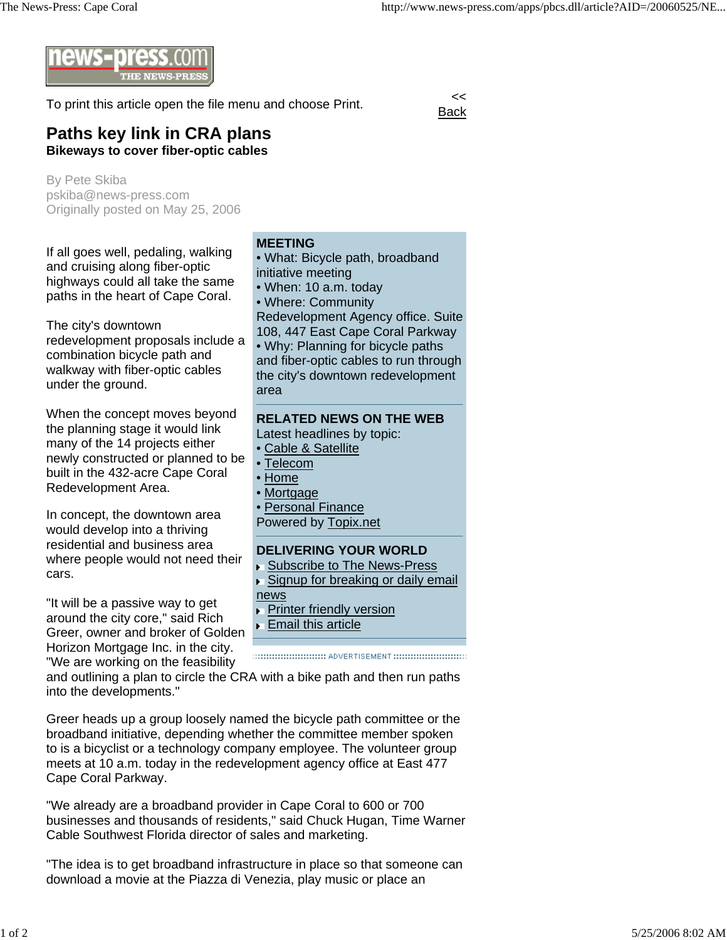

To print this article open the file menu and choose Print.

**Back** 

## **Paths key link in CRA plans Bikeways to cover fiber-optic cables**

By Pete Skiba pskiba@news-press.com Originally posted on May 25, 2006

If all goes well, pedaling, walking and cruising along fiber-optic highways could all take the same paths in the heart of Cape Coral.

The city's downtown redevelopment proposals include a combination bicycle path and walkway with fiber-optic cables under the ground.

When the concept moves beyond the planning stage it would link many of the 14 projects either newly constructed or planned to be built in the 432-acre Cape Coral Redevelopment Area.

In concept, the downtown area would develop into a thriving residential and business area where people would not need their cars.

"It will be a passive way to get around the city core," said Rich Greer, owner and broker of Golden Horizon Mortgage Inc. in the city. "We are working on the feasibility

**MEETING** • What: Bicycle path, broadband initiative meeting • When: 10 a.m. today • Where: Community Redevelopment Agency office. Suite 108, 447 East Cape Coral Parkway • Why: Planning for bicycle paths and fiber-optic cables to run through the city's downtown redevelopment area **RELATED NEWS ON THE WEB** Latest headlines by topic: • Cable & Satellite • Telecom • Home **Mortgage** Personal Finance Powered by Topix.net **DELIVERING YOUR WORLD** Subscribe to The News-Press Signup for breaking or daily email news **Printer friendly version** Email this article

and outlining a plan to circle the CRA with a bike path and then run paths into the developments."

Greer heads up a group loosely named the bicycle path committee or the broadband initiative, depending whether the committee member spoken to is a bicyclist or a technology company employee. The volunteer group meets at 10 a.m. today in the redevelopment agency office at East 477 Cape Coral Parkway.

"We already are a broadband provider in Cape Coral to 600 or 700 businesses and thousands of residents," said Chuck Hugan, Time Warner Cable Southwest Florida director of sales and marketing.

"The idea is to get broadband infrastructure in place so that someone can download a movie at the Piazza di Venezia, play music or place an